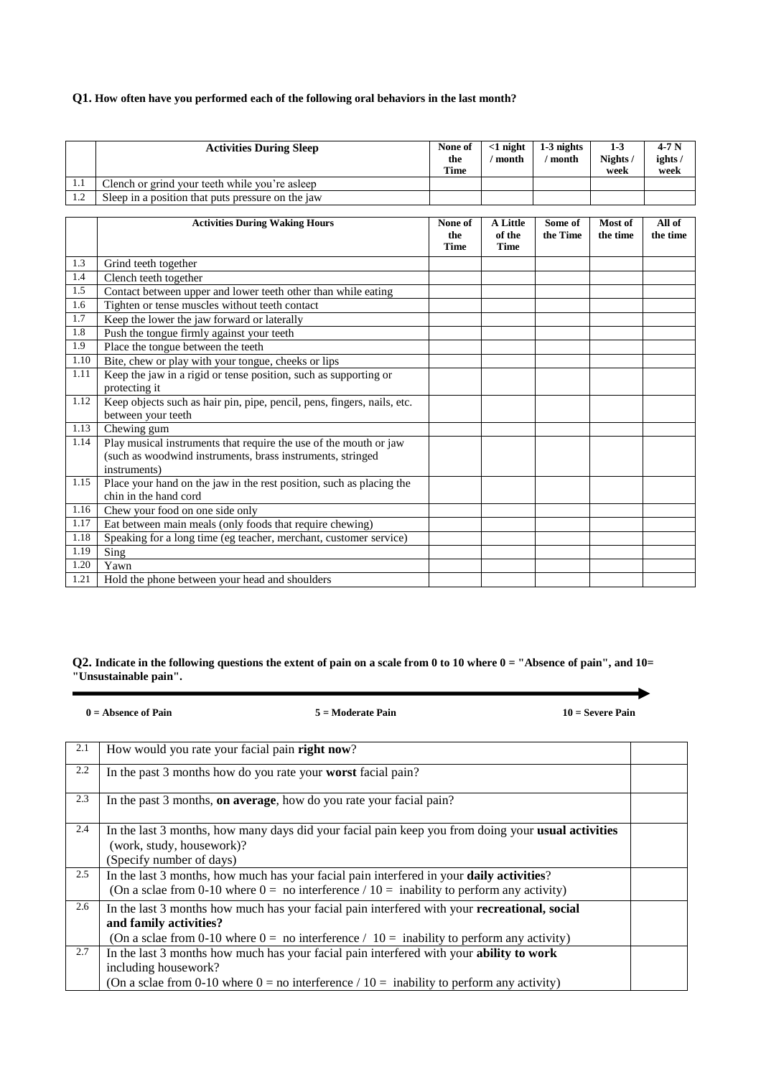# **Q1. How often have you performed each of the following oral behaviors in the last month?**

|     | <b>Activities During Sleep</b>                                | None of<br>the<br><b>Time</b> | $<$ 1 night<br>' month     | $1-3$ nights<br>' month | $1-3$<br>Nights /<br>week | $4-7N$<br>ights/<br>week |
|-----|---------------------------------------------------------------|-------------------------------|----------------------------|-------------------------|---------------------------|--------------------------|
| 1.1 | Clench or grind your teeth while you're as leep               |                               |                            |                         |                           |                          |
| 1.2 | Sleep in a position that puts pressure on the jaw             |                               |                            |                         |                           |                          |
|     |                                                               |                               |                            |                         |                           |                          |
|     | <b>Activities During Waking Hours</b>                         | None of<br>the<br><b>Time</b> | A Little<br>of the<br>Time | Some of<br>the Time     | Most of<br>the time       | All of<br>the time       |
| 1.3 | Grind teeth together                                          |                               |                            |                         |                           |                          |
| 1.4 | Clench teeth together                                         |                               |                            |                         |                           |                          |
| 1.5 | Contact between upper and lower teeth other than while eating |                               |                            |                         |                           |                          |

| 1.5  | Contact between upper and lower teeth other than while eating                     |  |  |  |
|------|-----------------------------------------------------------------------------------|--|--|--|
| 1.6  | Tighten or tense muscles without teeth contact                                    |  |  |  |
| 1.7  | Keep the lower the jaw forward or laterally                                       |  |  |  |
| 1.8  | Push the tongue firmly against your teeth                                         |  |  |  |
| 1.9  | Place the tongue between the teeth                                                |  |  |  |
| 1.10 | Bite, chew or play with your tongue, cheeks or lips                               |  |  |  |
| 1.11 | Keep the jaw in a rigid or tense position, such as supporting or<br>protecting it |  |  |  |
| 1.12 | Keep objects such as hair pin, pipe, pencil, pens, fingers, nails, etc.           |  |  |  |
|      | between your teeth                                                                |  |  |  |
| 1.13 | Chewing gum                                                                       |  |  |  |
| 1.14 | Play musical instruments that require the use of the mouth or jaw                 |  |  |  |
|      | (such as woodwind instruments, brass instruments, stringed                        |  |  |  |
|      | instruments)                                                                      |  |  |  |
| 1.15 | Place your hand on the jaw in the rest position, such as placing the              |  |  |  |
|      | chin in the hand cord                                                             |  |  |  |
| 1.16 | Chew your food on one side only                                                   |  |  |  |
| 1.17 | Eat between main meals (only foods that require chewing)                          |  |  |  |
| 1.18 | Speaking for a long time (eg teacher, merchant, customer service)                 |  |  |  |
| 1.19 | Sing                                                                              |  |  |  |
| 1.20 | Yawn                                                                              |  |  |  |
| 1.21 | Hold the phone between your head and shoulders                                    |  |  |  |

# Q2. Indicate in the following questions the extent of pain on a scale from 0 to 10 where 0 = "Absence of pain", and 10= **"Unsustainable pain".**

**0 = Absence of Pain 5 = Moderate Pain 10 = Severe Pain**

| 2.1 | How would you rate your facial pain right now?                                                                                                                                                                                  |  |
|-----|---------------------------------------------------------------------------------------------------------------------------------------------------------------------------------------------------------------------------------|--|
| 2.2 | In the past 3 months how do you rate your worst facial pain?                                                                                                                                                                    |  |
| 2.3 | In the past 3 months, <b>on average</b> , how do you rate your facial pain?                                                                                                                                                     |  |
| 2.4 | In the last 3 months, how many days did your facial pain keep you from doing your <b>usual activities</b><br>(work, study, housework)?<br>(Specify number of days)                                                              |  |
| 2.5 | In the last 3 months, how much has your facial pain interfered in your daily activities?<br>(On a sclae from 0-10 where $0 =$ no interference $/ 10 =$ inability to perform any activity)                                       |  |
| 2.6 | In the last 3 months how much has your facial pain interfered with your <b>recreational</b> , social<br>and family activities?<br>(On a sclae from 0-10 where $0 =$ no interference / $10 =$ inability to perform any activity) |  |
| 2.7 | In the last 3 months how much has your facial pain interfered with your ability to work<br>including housework?<br>(On a sclae from 0-10 where $0 =$ no interference / 10 = inability to perform any activity)                  |  |